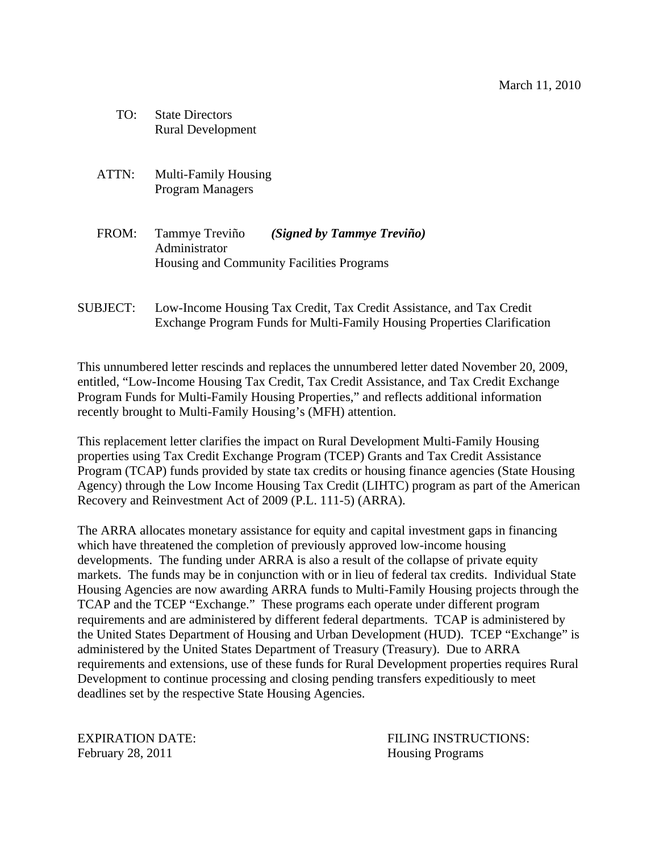- TO: State Directors Rural Development
- ATTN: Multi-Family Housing Program Managers
- FROM: Tammye Treviño *(Signed by Tammye Treviño)* Administrator Housing and Community Facilities Programs
- SUBJECT: Low-Income Housing Tax Credit, Tax Credit Assistance, and Tax Credit Exchange Program Funds for Multi-Family Housing Properties Clarification

This unnumbered letter rescinds and replaces the unnumbered letter dated November 20, 2009, entitled, "Low-Income Housing Tax Credit, Tax Credit Assistance, and Tax Credit Exchange Program Funds for Multi-Family Housing Properties," and reflects additional information recently brought to Multi-Family Housing's (MFH) attention.

This replacement letter clarifies the impact on Rural Development Multi-Family Housing properties using Tax Credit Exchange Program (TCEP) Grants and Tax Credit Assistance Program (TCAP) funds provided by state tax credits or housing finance agencies (State Housing Agency) through the Low Income Housing Tax Credit (LIHTC) program as part of the American Recovery and Reinvestment Act of 2009 (P.L. 111-5) (ARRA).

The ARRA allocates monetary assistance for equity and capital investment gaps in financing which have threatened the completion of previously approved low-income housing developments. The funding under ARRA is also a result of the collapse of private equity markets. The funds may be in conjunction with or in lieu of federal tax credits. Individual State Housing Agencies are now awarding ARRA funds to Multi-Family Housing projects through the TCAP and the TCEP "Exchange." These programs each operate under different program requirements and are administered by different federal departments. TCAP is administered by the United States Department of Housing and Urban Development (HUD). TCEP "Exchange" is administered by the United States Department of Treasury (Treasury). Due to ARRA requirements and extensions, use of these funds for Rural Development properties requires Rural Development to continue processing and closing pending transfers expeditiously to meet deadlines set by the respective State Housing Agencies.

February 28, 2011 **Housing Programs** 

EXPIRATION DATE: THE SECOND SECOND FILING INSTRUCTIONS: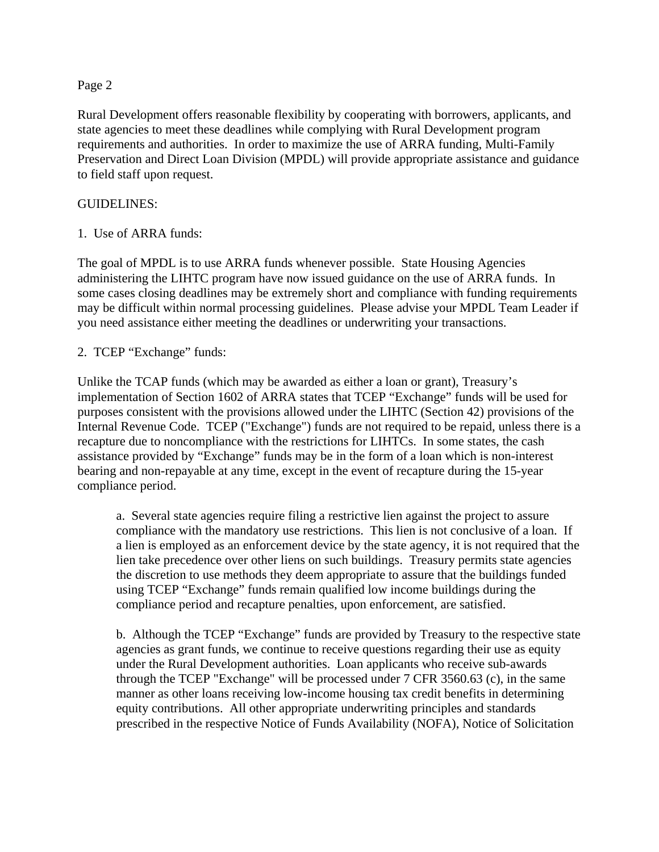## Page 2

Rural Development offers reasonable flexibility by cooperating with borrowers, applicants, and state agencies to meet these deadlines while complying with Rural Development program requirements and authorities. In order to maximize the use of ARRA funding, Multi-Family Preservation and Direct Loan Division (MPDL) will provide appropriate assistance and guidance to field staff upon request.

## GUIDELINES:

1. Use of ARRA funds:

The goal of MPDL is to use ARRA funds whenever possible. State Housing Agencies administering the LIHTC program have now issued guidance on the use of ARRA funds. In some cases closing deadlines may be extremely short and compliance with funding requirements may be difficult within normal processing guidelines. Please advise your MPDL Team Leader if you need assistance either meeting the deadlines or underwriting your transactions.

2. TCEP "Exchange" funds:

Unlike the TCAP funds (which may be awarded as either a loan or grant), Treasury's implementation of Section 1602 of ARRA states that TCEP "Exchange" funds will be used for purposes consistent with the provisions allowed under the LIHTC (Section 42) provisions of the Internal Revenue Code. TCEP ("Exchange") funds are not required to be repaid, unless there is a recapture due to noncompliance with the restrictions for LIHTCs. In some states, the cash assistance provided by "Exchange" funds may be in the form of a loan which is non-interest bearing and non-repayable at any time, except in the event of recapture during the 15-year compliance period.

a. Several state agencies require filing a restrictive lien against the project to assure compliance with the mandatory use restrictions. This lien is not conclusive of a loan. If a lien is employed as an enforcement device by the state agency, it is not required that the lien take precedence over other liens on such buildings. Treasury permits state agencies the discretion to use methods they deem appropriate to assure that the buildings funded using TCEP "Exchange" funds remain qualified low income buildings during the compliance period and recapture penalties, upon enforcement, are satisfied.

b. Although the TCEP "Exchange" funds are provided by Treasury to the respective state agencies as grant funds, we continue to receive questions regarding their use as equity under the Rural Development authorities. Loan applicants who receive sub-awards through the TCEP "Exchange" will be processed under 7 CFR 3560.63 (c), in the same manner as other loans receiving low-income housing tax credit benefits in determining equity contributions. All other appropriate underwriting principles and standards prescribed in the respective Notice of Funds Availability (NOFA), Notice of Solicitation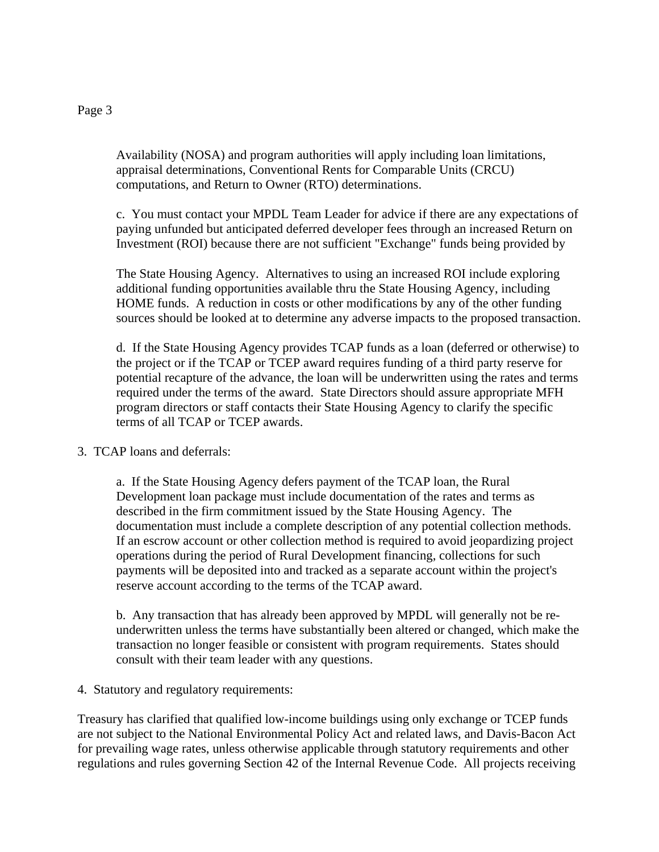## Page 3

Availability (NOSA) and program authorities will apply including loan limitations, appraisal determinations, Conventional Rents for Comparable Units (CRCU) computations, and Return to Owner (RTO) determinations.

c. You must contact your MPDL Team Leader for advice if there are any expectations of paying unfunded but anticipated deferred developer fees through an increased Return on Investment (ROI) because there are not sufficient "Exchange" funds being provided by

The State Housing Agency. Alternatives to using an increased ROI include exploring additional funding opportunities available thru the State Housing Agency, including HOME funds. A reduction in costs or other modifications by any of the other funding sources should be looked at to determine any adverse impacts to the proposed transaction.

d. If the State Housing Agency provides TCAP funds as a loan (deferred or otherwise) to the project or if the TCAP or TCEP award requires funding of a third party reserve for potential recapture of the advance, the loan will be underwritten using the rates and terms required under the terms of the award. State Directors should assure appropriate MFH program directors or staff contacts their State Housing Agency to clarify the specific terms of all TCAP or TCEP awards.

3. TCAP loans and deferrals:

a. If the State Housing Agency defers payment of the TCAP loan, the Rural Development loan package must include documentation of the rates and terms as described in the firm commitment issued by the State Housing Agency. The documentation must include a complete description of any potential collection methods. If an escrow account or other collection method is required to avoid jeopardizing project operations during the period of Rural Development financing, collections for such payments will be deposited into and tracked as a separate account within the project's reserve account according to the terms of the TCAP award.

b. Any transaction that has already been approved by MPDL will generally not be reunderwritten unless the terms have substantially been altered or changed, which make the transaction no longer feasible or consistent with program requirements. States should consult with their team leader with any questions.

4. Statutory and regulatory requirements:

Treasury has clarified that qualified low-income buildings using only exchange or TCEP funds are not subject to the National Environmental Policy Act and related laws, and Davis-Bacon Act for prevailing wage rates, unless otherwise applicable through statutory requirements and other regulations and rules governing Section 42 of the Internal Revenue Code. All projects receiving